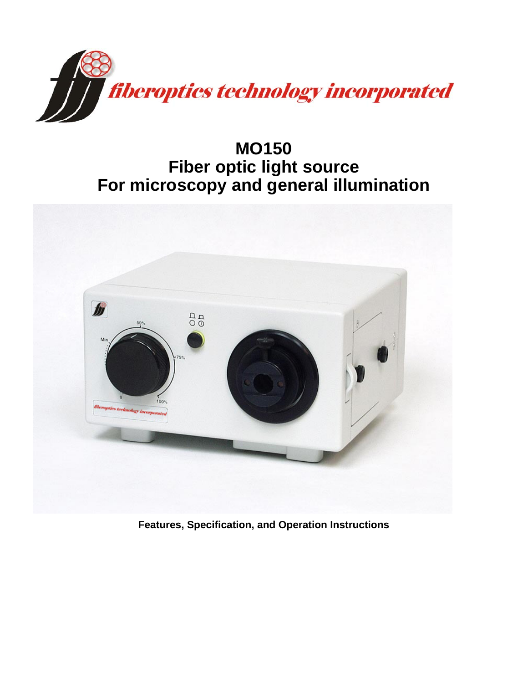

**MO150 Fiber optic light source For microscopy and general illumination** 



**Features, Specification, and Operation Instructions**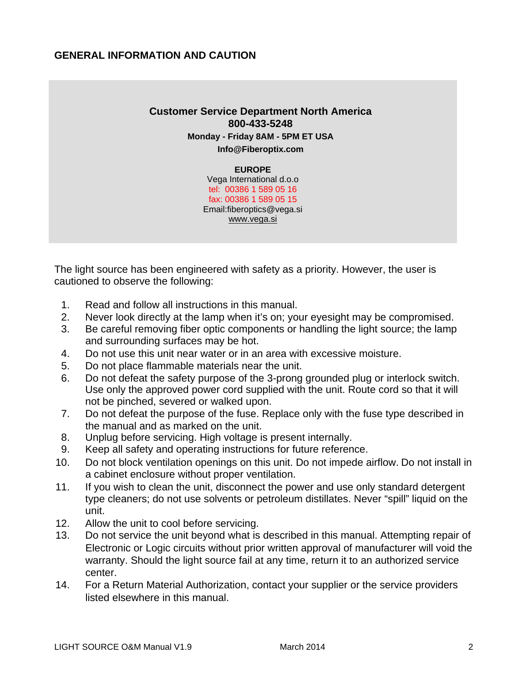#### **GENERAL INFORMATION AND CAUTION**

# **Customer Service Department North America 800-433-5248 Monday - Friday 8AM - 5PM ET USA Info@Fiberoptix.com**

**EUROPE**  Vega International d.o.o tel: 00386 1 589 05 16 fax: 00386 1 589 05 15 Email:fiberoptics@vega.si www.vega.si

The light source has been engineered with safety as a priority. However, the user is cautioned to observe the following:

- 1. Read and follow all instructions in this manual.
- 2. Never look directly at the lamp when it's on; your eyesight may be compromised.
- 3. Be careful removing fiber optic components or handling the light source; the lamp and surrounding surfaces may be hot.
- 4. Do not use this unit near water or in an area with excessive moisture.
- 5. Do not place flammable materials near the unit.
- 6. Do not defeat the safety purpose of the 3-prong grounded plug or interlock switch. Use only the approved power cord supplied with the unit. Route cord so that it will not be pinched, severed or walked upon.
- 7. Do not defeat the purpose of the fuse. Replace only with the fuse type described in the manual and as marked on the unit.
- 8. Unplug before servicing. High voltage is present internally.
- 9. Keep all safety and operating instructions for future reference.
- 10. Do not block ventilation openings on this unit. Do not impede airflow. Do not install in a cabinet enclosure without proper ventilation.
- 11. If you wish to clean the unit, disconnect the power and use only standard detergent type cleaners; do not use solvents or petroleum distillates. Never "spill" liquid on the unit.
- 12. Allow the unit to cool before servicing.
- 13. Do not service the unit beyond what is described in this manual. Attempting repair of Electronic or Logic circuits without prior written approval of manufacturer will void the warranty. Should the light source fail at any time, return it to an authorized service center.
- 14. For a Return Material Authorization, contact your supplier or the service providers listed elsewhere in this manual.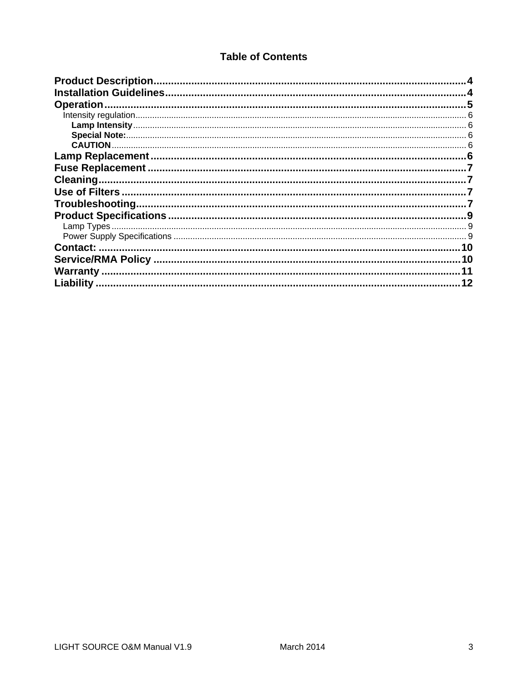# **Table of Contents**

| <b>Product Description</b> |    |
|----------------------------|----|
|                            |    |
| <b>Operation</b>           |    |
|                            |    |
|                            |    |
|                            |    |
|                            |    |
| <b>Lamp Replacement</b>    |    |
|                            |    |
|                            |    |
|                            |    |
| Troubleshooting.           |    |
|                            |    |
|                            |    |
|                            |    |
| <b>Contact:</b>            | 10 |
| Service/RMA Policy         | 10 |
| <b>Warranty</b>            |    |
| Liability                  | 12 |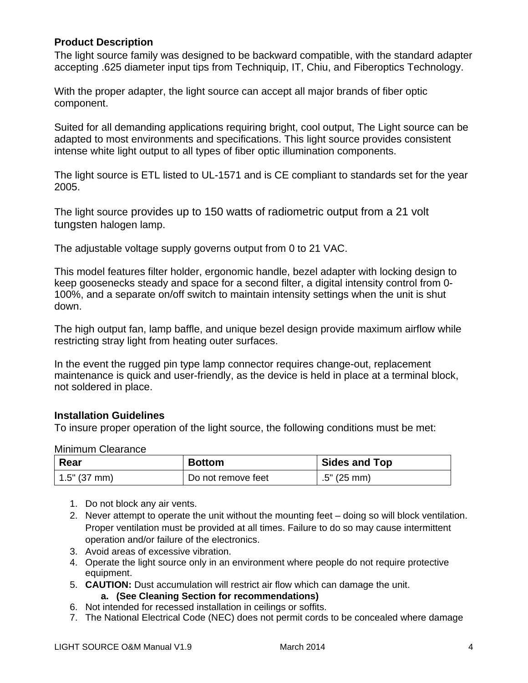#### **Product Description**

The light source family was designed to be backward compatible, with the standard adapter accepting .625 diameter input tips from Techniquip, IT, Chiu, and Fiberoptics Technology.

With the proper adapter, the light source can accept all major brands of fiber optic component.

Suited for all demanding applications requiring bright, cool output, The Light source can be adapted to most environments and specifications. This light source provides consistent intense white light output to all types of fiber optic illumination components.

The light source is ETL listed to UL-1571 and is CE compliant to standards set for the year 2005.

The light source provides up to 150 watts of radiometric output from a 21 volt tungsten halogen lamp.

The adjustable voltage supply governs output from 0 to 21 VAC.

This model features filter holder, ergonomic handle, bezel adapter with locking design to keep goosenecks steady and space for a second filter, a digital intensity control from 0- 100%, and a separate on/off switch to maintain intensity settings when the unit is shut down.

The high output fan, lamp baffle, and unique bezel design provide maximum airflow while restricting stray light from heating outer surfaces.

In the event the rugged pin type lamp connector requires change-out, replacement maintenance is quick and user-friendly, as the device is held in place at a terminal block, not soldered in place.

#### **Installation Guidelines**

To insure proper operation of the light source, the following conditions must be met:

#### Minimum Clearance

| Rear         | <b>Bottom</b>      | <b>Sides and Top</b> |  |  |
|--------------|--------------------|----------------------|--|--|
| 1.5" (37 mm) | Do not remove feet | $.5"$ (25 mm)        |  |  |

- 1. Do not block any air vents.
- 2. Never attempt to operate the unit without the mounting feet doing so will block ventilation. Proper ventilation must be provided at all times. Failure to do so may cause intermittent operation and/or failure of the electronics.
- 3. Avoid areas of excessive vibration.
- 4. Operate the light source only in an environment where people do not require protective equipment.
- 5. **CAUTION:** Dust accumulation will restrict air flow which can damage the unit.

**a. (See Cleaning Section for recommendations)** 

- 6. Not intended for recessed installation in ceilings or soffits.
- 7. The National Electrical Code (NEC) does not permit cords to be concealed where damage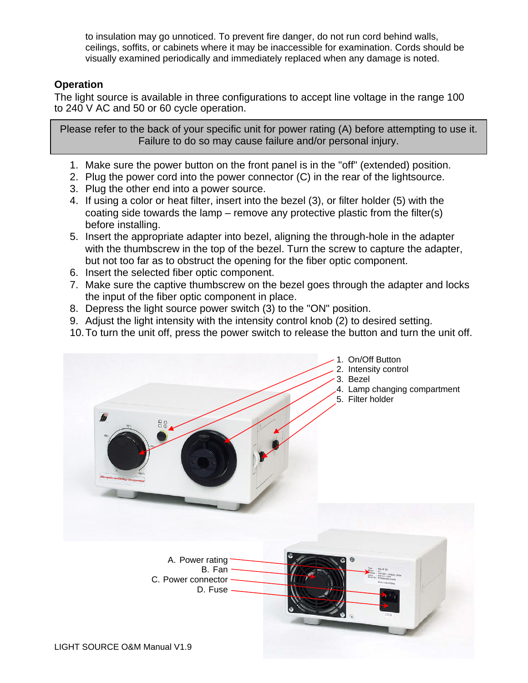to insulation may go unnoticed. To prevent fire danger, do not run cord behind walls, ceilings, soffits, or cabinets where it may be inaccessible for examination. Cords should be visually examined periodically and immediately replaced when any damage is noted.

# **Operation**

The light source is available in three configurations to accept line voltage in the range 100 to 240 V AC and 50 or 60 cycle operation.

Please refer to the back of your specific unit for power rating (A) before attempting to use it. Failure to do so may cause failure and/or personal injury.

- 1. Make sure the power button on the front panel is in the "off" (extended) position.
- 2. Plug the power cord into the power connector (C) in the rear of the lightsource.
- 3. Plug the other end into a power source.
- 4. If using a color or heat filter, insert into the bezel (3), or filter holder (5) with the coating side towards the lamp – remove any protective plastic from the filter(s) before installing.
- 5. Insert the appropriate adapter into bezel, aligning the through-hole in the adapter with the thumbscrew in the top of the bezel. Turn the screw to capture the adapter, but not too far as to obstruct the opening for the fiber optic component.
- 6. Insert the selected fiber optic component.
- 7. Make sure the captive thumbscrew on the bezel goes through the adapter and locks the input of the fiber optic component in place.
- 8. Depress the light source power switch (3) to the "ON" position.
- 9. Adjust the light intensity with the intensity control knob (2) to desired setting.
- 10. To turn the unit off, press the power switch to release the button and turn the unit off.

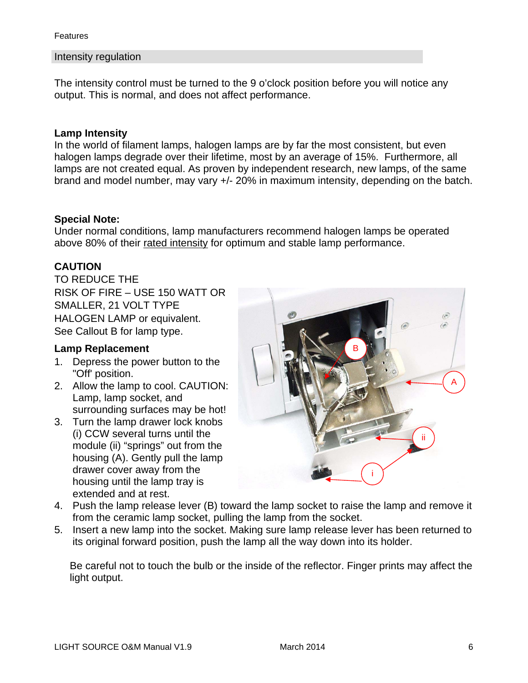**Features** 

#### Intensity regulation

The intensity control must be turned to the 9 o'clock position before you will notice any output. This is normal, and does not affect performance.

#### **Lamp Intensity**

In the world of filament lamps, halogen lamps are by far the most consistent, but even halogen lamps degrade over their lifetime, most by an average of 15%. Furthermore, all lamps are not created equal. As proven by independent research, new lamps, of the same brand and model number, may vary +/- 20% in maximum intensity, depending on the batch.

#### **Special Note:**

Under normal conditions, lamp manufacturers recommend halogen lamps be operated above 80% of their rated intensity for optimum and stable lamp performance.

# **CAUTION**

TO REDUCE THE RISK OF FIRE – USE 150 WATT OR SMALLER, 21 VOLT TYPE HALOGEN LAMP or equivalent. See Callout B for lamp type.

#### **Lamp Replacement**

- 1. Depress the power button to the "Off' position.
- 2. Allow the lamp to cool. CAUTION: Lamp, lamp socket, and surrounding surfaces may be hot!
- 3. Turn the lamp drawer lock knobs (i) CCW several turns until the module (ii) "springs" out from the housing (A). Gently pull the lamp drawer cover away from the housing until the lamp tray is extended and at rest.



- 4. Push the lamp release lever (B) toward the lamp socket to raise the lamp and remove it from the ceramic lamp socket, pulling the lamp from the socket.
- 5. Insert a new lamp into the socket. Making sure lamp release lever has been returned to its original forward position, push the lamp all the way down into its holder.

Be careful not to touch the bulb or the inside of the reflector. Finger prints may affect the light output.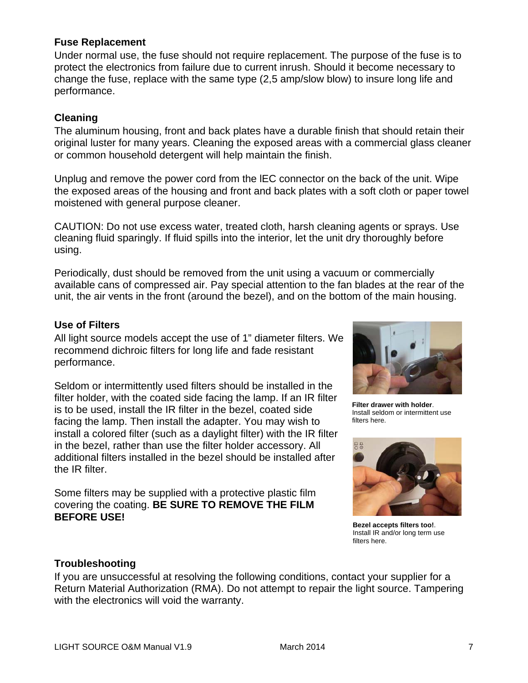## **Fuse Replacement**

Under normal use, the fuse should not require replacement. The purpose of the fuse is to protect the electronics from failure due to current inrush. Should it become necessary to change the fuse, replace with the same type (2,5 amp/slow blow) to insure long life and performance.

## **Cleaning**

The aluminum housing, front and back plates have a durable finish that should retain their original luster for many years. Cleaning the exposed areas with a commercial glass cleaner or common household detergent will help maintain the finish.

Unplug and remove the power cord from the lEC connector on the back of the unit. Wipe the exposed areas of the housing and front and back plates with a soft cloth or paper towel moistened with general purpose cleaner.

CAUTION: Do not use excess water, treated cloth, harsh cleaning agents or sprays. Use cleaning fluid sparingly. If fluid spills into the interior, let the unit dry thoroughly before using.

Periodically, dust should be removed from the unit using a vacuum or commercially available cans of compressed air. Pay special attention to the fan blades at the rear of the unit, the air vents in the front (around the bezel), and on the bottom of the main housing.

## **Use of Filters**

All light source models accept the use of 1" diameter filters. We recommend dichroic filters for long life and fade resistant performance.

Seldom or intermittently used filters should be installed in the filter holder, with the coated side facing the lamp. If an IR filter is to be used, install the IR filter in the bezel, coated side facing the lamp. Then install the adapter. You may wish to install a colored filter (such as a daylight filter) with the IR filter in the bezel, rather than use the filter holder accessory. All additional filters installed in the bezel should be installed after the IR filter.

Some filters may be supplied with a protective plastic film covering the coating. **BE SURE TO REMOVE THE FILM BEFORE USE!** 



**Filter drawer with holder**. Install seldom or intermittent use filters here.



**Bezel accepts filters too!**. Install IR and/or long term use filters here.

# **Troubleshooting**

If you are unsuccessful at resolving the following conditions, contact your supplier for a Return Material Authorization (RMA). Do not attempt to repair the light source. Tampering with the electronics will void the warranty.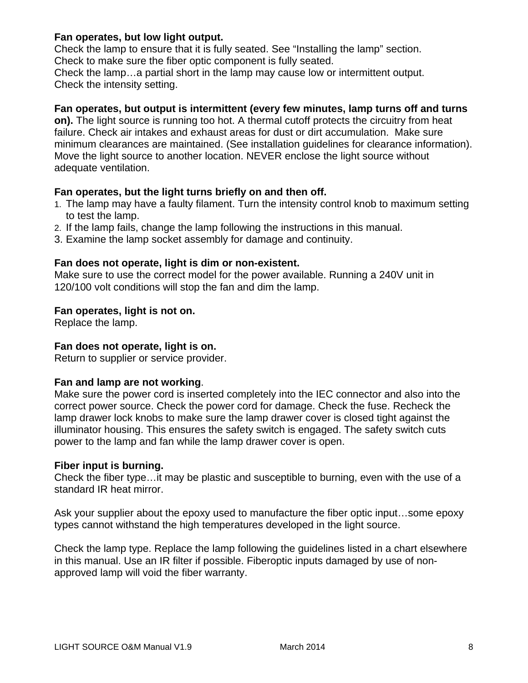#### **Fan operates, but low light output.**

Check the lamp to ensure that it is fully seated. See "Installing the lamp" section. Check to make sure the fiber optic component is fully seated.

Check the lamp…a partial short in the lamp may cause low or intermittent output. Check the intensity setting.

#### **Fan operates, but output is intermittent (every few minutes, lamp turns off and turns**

**on).** The light source is running too hot. A thermal cutoff protects the circuitry from heat failure. Check air intakes and exhaust areas for dust or dirt accumulation. Make sure minimum clearances are maintained. (See installation guidelines for clearance information). Move the light source to another location. NEVER enclose the light source without adequate ventilation.

#### **Fan operates, but the light turns briefly on and then off.**

- 1. The lamp may have a faulty filament. Turn the intensity control knob to maximum setting to test the lamp.
- 2. If the lamp fails, change the lamp following the instructions in this manual.
- 3. Examine the lamp socket assembly for damage and continuity.

## **Fan does not operate, light is dim or non-existent.**

Make sure to use the correct model for the power available. Running a 240V unit in 120/100 volt conditions will stop the fan and dim the lamp.

#### **Fan operates, light is not on.**

Replace the lamp.

#### **Fan does not operate, light is on.**

Return to supplier or service provider.

#### **Fan and lamp are not working**.

Make sure the power cord is inserted completely into the IEC connector and also into the correct power source. Check the power cord for damage. Check the fuse. Recheck the lamp drawer lock knobs to make sure the lamp drawer cover is closed tight against the illuminator housing. This ensures the safety switch is engaged. The safety switch cuts power to the lamp and fan while the lamp drawer cover is open.

#### **Fiber input is burning.**

Check the fiber type…it may be plastic and susceptible to burning, even with the use of a standard IR heat mirror.

Ask your supplier about the epoxy used to manufacture the fiber optic input…some epoxy types cannot withstand the high temperatures developed in the light source.

Check the lamp type. Replace the lamp following the guidelines listed in a chart elsewhere in this manual. Use an IR filter if possible. Fiberoptic inputs damaged by use of nonapproved lamp will void the fiber warranty.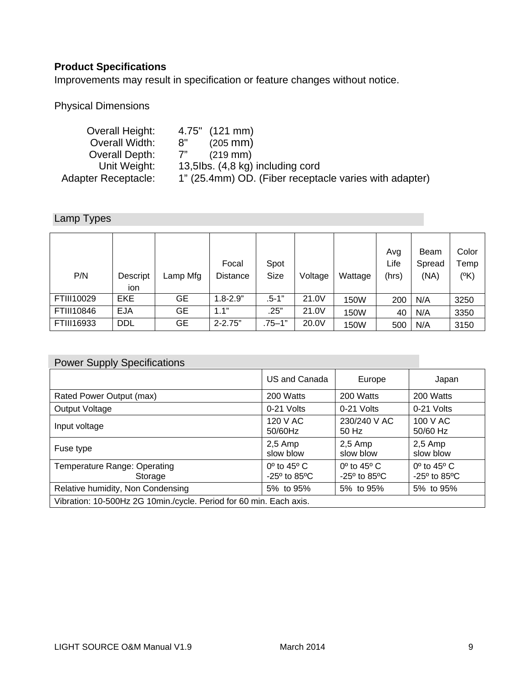# **Product Specifications**

Improvements may result in specification or feature changes without notice.

Physical Dimensions

| Overall Height:            | 4.75" (121 mm)                                         |
|----------------------------|--------------------------------------------------------|
| Overall Width:             | 8"<br>$(205 \, \text{mm})$                             |
| Overall Depth:             | 7"<br>$(219 \, \text{mm})$                             |
| Unit Weight:               | 13,5lbs. (4,8 kg) including cord                       |
| <b>Adapter Receptacle:</b> | 1" (25.4mm) OD. (Fiber receptacle varies with adapter) |

# Lamp Types

| P/N        | Descript<br>ion | Lamp Mfg | Focal<br><b>Distance</b> | Spot<br>Size | Voltage | Wattage | Avg<br>Life<br>(hrs) | Beam<br>Spread<br>(NA) | Color<br>Temp<br>$(^{\circ}K)$ |
|------------|-----------------|----------|--------------------------|--------------|---------|---------|----------------------|------------------------|--------------------------------|
| FTIII10029 | EKE             | GЕ       | $1.8 - 2.9"$             | $.5 - 1"$    | 21.0V   | 150W    | 200                  | N/A                    | 3250                           |
| FTIII10846 | <b>EJA</b>      | GЕ       | 1.1"                     | .25"         | 21.0V   | 150W    | 40                   | N/A                    | 3350                           |
| FTIII16933 | <b>DDL</b>      | GЕ       | $2 - 2.75"$              | $.75 - 1"$   | 20.0V   | 150W    | 500                  | N/A                    | 3150                           |

| <b>Power Supply Specifications</b>                                 |                                                                    |                                                                    |                                                                    |  |  |
|--------------------------------------------------------------------|--------------------------------------------------------------------|--------------------------------------------------------------------|--------------------------------------------------------------------|--|--|
|                                                                    | US and Canada                                                      | Europe                                                             | Japan                                                              |  |  |
| Rated Power Output (max)                                           | 200 Watts                                                          | 200 Watts                                                          | 200 Watts                                                          |  |  |
| Output Voltage                                                     | 0-21 Volts                                                         | 0-21 Volts                                                         | 0-21 Volts                                                         |  |  |
| Input voltage                                                      | 120 V AC<br>50/60Hz                                                | 230/240 V AC<br>50 Hz                                              | 100 V AC<br>50/60 Hz                                               |  |  |
| Fuse type                                                          | $2,5$ Amp<br>slow blow                                             | $2,5$ Amp<br>slow blow                                             | $2,5$ Amp<br>slow blow                                             |  |  |
| Temperature Range: Operating<br>Storage                            | $0^{\circ}$ to 45 $^{\circ}$ C<br>$-25^{\circ}$ to 85 $^{\circ}$ C | $0^{\circ}$ to 45 $^{\circ}$ C<br>$-25^{\circ}$ to 85 $^{\circ}$ C | $0^{\circ}$ to 45 $^{\circ}$ C<br>$-25^{\circ}$ to 85 $^{\circ}$ C |  |  |
| Relative humidity, Non Condensing                                  | 5% to 95%                                                          | 5% to 95%                                                          | 5% to 95%                                                          |  |  |
| Vibration: 10-500Hz 2G 10min./cycle. Period for 60 min. Each axis. |                                                                    |                                                                    |                                                                    |  |  |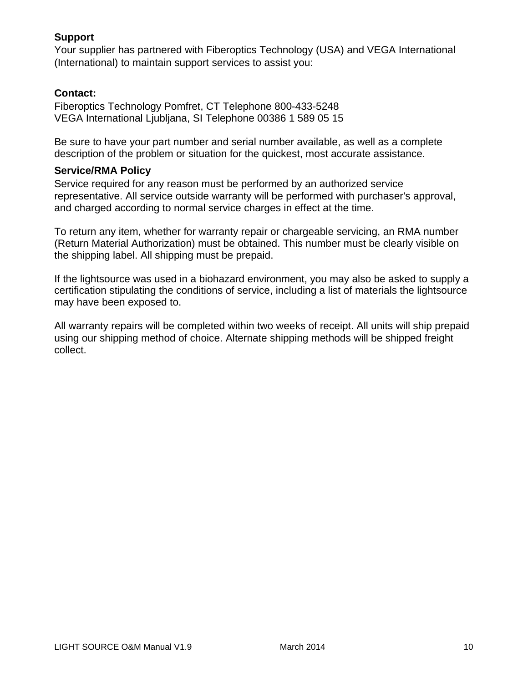# **Support**

Your supplier has partnered with Fiberoptics Technology (USA) and VEGA International (International) to maintain support services to assist you:

## **Contact:**

Fiberoptics Technology Pomfret, CT Telephone 800-433-5248 VEGA International Ljubljana, SI Telephone 00386 1 589 05 15

Be sure to have your part number and serial number available, as well as a complete description of the problem or situation for the quickest, most accurate assistance.

#### **Service/RMA Policy**

Service required for any reason must be performed by an authorized service representative. All service outside warranty will be performed with purchaser's approval, and charged according to normal service charges in effect at the time.

To return any item, whether for warranty repair or chargeable servicing, an RMA number (Return Material Authorization) must be obtained. This number must be clearly visible on the shipping label. All shipping must be prepaid.

If the lightsource was used in a biohazard environment, you may also be asked to supply a certification stipulating the conditions of service, including a list of materials the lightsource may have been exposed to.

All warranty repairs will be completed within two weeks of receipt. All units will ship prepaid using our shipping method of choice. Alternate shipping methods will be shipped freight collect.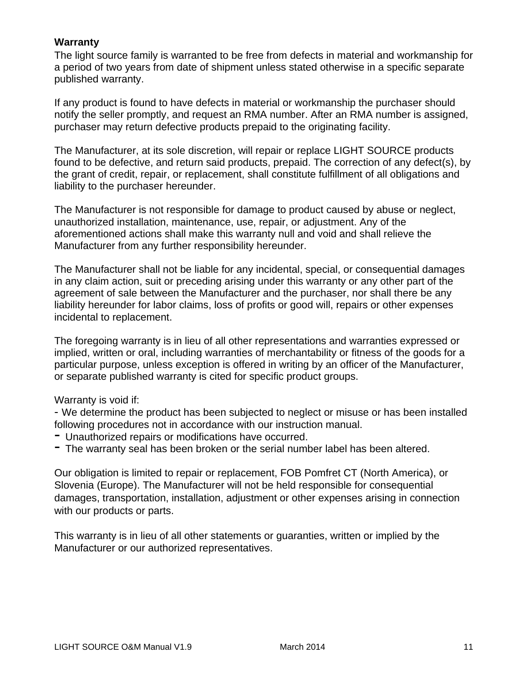#### **Warranty**

The light source family is warranted to be free from defects in material and workmanship for a period of two years from date of shipment unless stated otherwise in a specific separate published warranty.

If any product is found to have defects in material or workmanship the purchaser should notify the seller promptly, and request an RMA number. After an RMA number is assigned, purchaser may return defective products prepaid to the originating facility.

The Manufacturer, at its sole discretion, will repair or replace LIGHT SOURCE products found to be defective, and return said products, prepaid. The correction of any defect(s), by the grant of credit, repair, or replacement, shall constitute fulfillment of all obligations and liability to the purchaser hereunder.

The Manufacturer is not responsible for damage to product caused by abuse or neglect, unauthorized installation, maintenance, use, repair, or adjustment. Any of the aforementioned actions shall make this warranty null and void and shall relieve the Manufacturer from any further responsibility hereunder.

The Manufacturer shall not be liable for any incidental, special, or consequential damages in any claim action, suit or preceding arising under this warranty or any other part of the agreement of sale between the Manufacturer and the purchaser, nor shall there be any liability hereunder for labor claims, loss of profits or good will, repairs or other expenses incidental to replacement.

The foregoing warranty is in lieu of all other representations and warranties expressed or implied, written or oral, including warranties of merchantability or fitness of the goods for a particular purpose, unless exception is offered in writing by an officer of the Manufacturer, or separate published warranty is cited for specific product groups.

#### Warranty is void if:

- We determine the product has been subjected to neglect or misuse or has been installed following procedures not in accordance with our instruction manual.

- Unauthorized repairs or modifications have occurred.
- The warranty seal has been broken or the serial number label has been altered.

Our obligation is limited to repair or replacement, FOB Pomfret CT (North America), or Slovenia (Europe). The Manufacturer will not be held responsible for consequential damages, transportation, installation, adjustment or other expenses arising in connection with our products or parts.

This warranty is in lieu of all other statements or guaranties, written or implied by the Manufacturer or our authorized representatives.